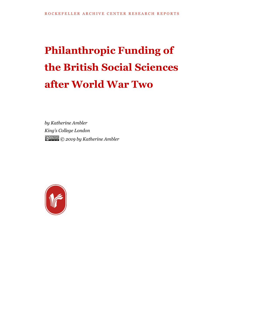## **Philanthropic Funding of the British Social Sciences after World War Two**

*by Katherine Ambler King's College London © 2019 by Katherine Ambler*

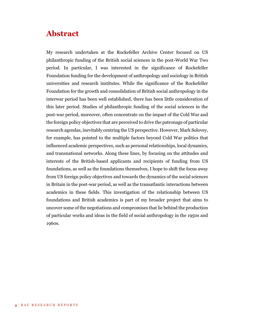## **Abstract**

My research undertaken at the Rockefeller Archive Center focused on US philanthropic funding of the British social sciences in the post-World War Two period. In particular, I was interested in the significance of Rockefeller Foundation funding for the development of anthropology and sociology in British universities and research institutes. While the significance of the Rockefeller Foundation for the growth and consolidation of British social anthropology in the interwar period has been well established, there has been little consideration of this later period. Studies of philanthropic funding of the social sciences in the post-war period, moreover, often concentrate on the impact of the Cold War and the foreign policy objectives that are perceived to drive the patronage of particular research agendas, inevitably centring the US perspective. However, Mark Solovey, for example, has pointed to the multiple factors beyond Cold War politics that influenced academic perspectives, such as personal relationships, local dynamics, and transnational networks. Along these lines, by focusing on the attitudes and interests of the British-based applicants and recipients of funding from US foundations, as well as the foundations themselves, I hope to shift the focus away from US foreign policy objectives and towards the dynamics of the social sciences in Britain in the post-war period, as well as the transatlantic interactions between academics in these fields. This investigation of the relationship between US foundations and British academics is part of my broader project that aims to uncover some of the negotiations and compromises that lie behind the production of particular works and ideas in the field of social anthropology in the 1950s and 1960s.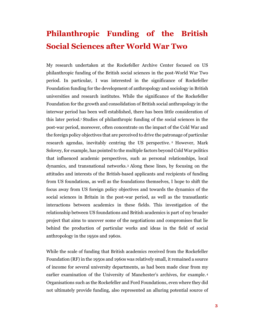## **Philanthropic Funding of the British Social Sciences after World War Two**

My research undertaken at the Rockefeller Archive Center focused on US philanthropic funding of the British social sciences in the post-World War Two period. In particular, I was interested in the significance of Rockefeller Foundation funding for the development of anthropology and sociology in British universities and research institutes. While the significance of the Rockefeller Foundation for the growth and consolidation of British social anthropology in the interwar period has been well established, there has been little consideration of this later period.<sup>1</sup> Studies of philanthropic funding of the social sciences in the post-war period, moreover, often concentrate on the impact of the Cold War and the foreign policy objectives that are perceived to drive the patronage of particular research agendas, inevitably centring the US perspective. <sup>2</sup> However, Mark Solovey, for example, has pointed to the multiple factors beyond Cold War politics that influenced academic perspectives, such as personal relationships, local dynamics, and transnational networks.<sup>3</sup> Along these lines, by focusing on the attitudes and interests of the British-based applicants and recipients of funding from US foundations, as well as the foundations themselves, I hope to shift the focus away from US foreign policy objectives and towards the dynamics of the social sciences in Britain in the post-war period, as well as the transatlantic interactions between academics in these fields. This investigation of the relationship between US foundations and British academics is part of my broader project that aims to uncover some of the negotiations and compromises that lie behind the production of particular works and ideas in the field of social anthropology in the 1950s and 1960s.

While the scale of funding that British academics received from the Rockefeller Foundation (RF) in the 1950s and 1960s was relatively small, it remained a source of income for several university departments, as had been made clear from my earlier examination of the University of Manchester's archives, for example. 4 Organisations such as the Rockefeller and Ford Foundations, even where they did not ultimately provide funding, also represented an alluring potential source of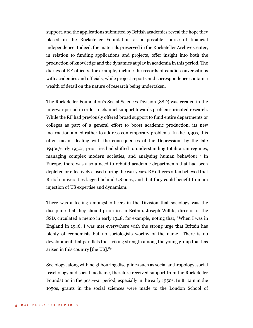support, and the applications submitted by British academics reveal the hope they placed in the Rockefeller Foundation as a possible source of financial independence. Indeed, the materials preserved in the Rockefeller Archive Center, in relation to funding applications and projects, offer insight into both the production of knowledge and the dynamics at play in academia in this period. The diaries of RF officers, for example, include the records of candid conversations with academics and officials, while project reports and correspondence contain a wealth of detail on the nature of research being undertaken.

The Rockefeller Foundation's Social Sciences Division (SSD) was created in the interwar period in order to channel support towards problem-oriented research. While the RF had previously offered broad support to fund entire departments or colleges as part of a general effort to boost academic production, its new incarnation aimed rather to address contemporary problems. In the 1930s, this often meant dealing with the consequences of the Depression; by the late 1940s/early 1950s, priorities had shifted to understanding totalitarian regimes, managing complex modern societies, and analysing human behaviour. <sup>5</sup> In Europe, there was also a need to rebuild academic departments that had been depleted or effectively closed during the war years. RF officers often believed that British universities lagged behind US ones, and that they could benefit from an injection of US expertise and dynamism.

There was a feeling amongst officers in the Division that sociology was the discipline that they should prioritise in Britain. Joseph Willits, director of the SSD, circulated a memo in early 1948, for example, noting that, "When I was in England in 1946, I was met everywhere with the strong urge that Britain has plenty of economists but no sociologists worthy of the name….There is no development that parallels the striking strength among the young group that has arisen in this country [the US]." 6

Sociology, along with neighbouring disciplines such as social anthropology, social psychology and social medicine, therefore received support from the Rockefeller Foundation in the post-war period, especially in the early 1950s. In Britain in the 1950s, grants in the social sciences were made to the London School of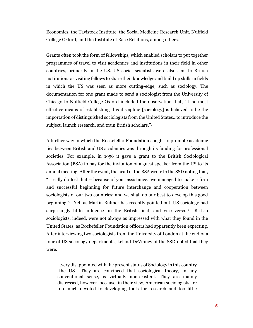Economics, the Tavistock Institute, the Social Medicine Research Unit, Nuffield College Oxford, and the Institute of Race Relations, among others.

Grants often took the form of fellowships, which enabled scholars to put together programmes of travel to visit academics and institutions in their field in other countries, primarily in the US. US social scientists were also sent to British institutions as visiting fellows to share their knowledge and build up skills in fields in which the US was seen as more cutting-edge, such as sociology. The documentation for one grant made to send a sociologist from the University of Chicago to Nuffield College Oxford included the observation that, "[t]he most effective means of establishing this discipline [sociology] is believed to be the importation of distinguished sociologists from the United States…to introduce the subject, launch research, and train British scholars."<sup>7</sup>

A further way in which the Rockefeller Foundation sought to promote academic ties between British and US academics was through its funding for professional societies. For example, in 1956 it gave a grant to the British Sociological Association (BSA) to pay for the invitation of a guest speaker from the US to its annual meeting. After the event, the head of the BSA wrote to the SSD noting that, "I really do feel that – because of your assistance…we managed to make a firm and successful beginning for future interchange and cooperation between sociologists of our two countries; and we shall do our best to develop this good beginning."8 Yet, as Martin Bulmer has recently pointed out, US sociology had surprisingly little influence on the British field, and vice versa. <sup>9</sup> British sociologists, indeed, were not always as impressed with what they found in the United States, as Rockefeller Foundation officers had apparently been expecting. After interviewing two sociologists from the University of London at the end of a tour of US sociology departments, Leland DeVinney of the SSD noted that they were:

…very disappointed with the present status of Sociology in this country [the US]. They are convinced that sociological theory, in any conventional sense, is virtually non-existent. They are mainly distressed, however, because, in their view, American sociologists are too much devoted to developing tools for research and too little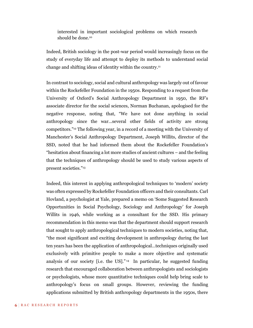interested in important sociological problems on which research should be done.<sup>10</sup>

Indeed, British sociology in the post-war period would increasingly focus on the study of everyday life and attempt to deploy its methods to understand social change and shifting ideas of identity within the country. 11

In contrast to sociology, social and cultural anthropology was largely out of favour within the Rockefeller Foundation in the 1950s. Responding to a request from the University of Oxford's Social Anthropology Department in 1950, the RF's associate director for the social sciences, Norman Buchanan, apologised for the negative response, noting that, "We have not done anything in social anthropology since the war…several other fields of activity are strong competitors." <sup>12</sup> The following year, in a record of a meeting with the University of Manchester's Social Anthropology Department, Joseph Willits, director of the SSD, noted that he had informed them about the Rockefeller Foundation's "hesitation about financing a lot more studies of ancient cultures – and the feeling that the techniques of anthropology should be used to study various aspects of present societies."<sup>13</sup>

Indeed, this interest in applying anthropological techniques to 'modern' society was often expressed by Rockefeller Foundation officers and their consultants. Carl Hovland, a psychologist at Yale, prepared a memo on 'Some Suggested Research Opportunities in Social Psychology, Sociology and Anthropology' for Joseph Willits in 1946, while working as a consultant for the SSD. His primary recommendation in this memo was that the department should support research that sought to apply anthropological techniques to modern societies, noting that, "the most significant and exciting development in anthropology during the last ten years has been the application of anthropological…techniques originally used exclusively with primitive people to make a more objective and systematic analysis of our society [i.e. the US]." <sup>14</sup> In particular, he suggested funding research that encouraged collaboration between anthropologists and sociologists or psychologists, whose more quantitative techniques could help bring scale to anthropology's focus on small groups. However, reviewing the funding applications submitted by British anthropology departments in the 1950s, there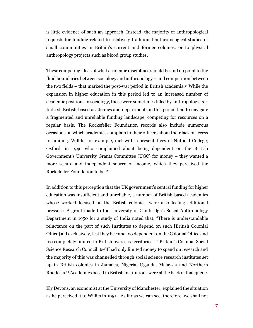is little evidence of such an approach. Instead, the majority of anthropological requests for funding related to relatively traditional anthropological studies of small communities in Britain's current and former colonies, or to physical anthropology projects such as blood group studies.

These competing ideas of what academic disciplines should be and do point to the fluid boundaries between sociology and anthropology – and competition between the two fields – that marked the post-war period in British academia. <sup>15</sup> While the expansion in higher education in this period led to an increased number of academic positions in sociology, these were sometimes filled by anthropologists.<sup>16</sup> Indeed, British-based academics and departments in this period had to navigate a fragmented and unreliable funding landscape, competing for resources on a regular basis. The Rockefeller Foundation records also include numerous occasions on which academics complain to their officers about their lack of access to funding. Willits, for example, met with representatives of Nuffield College, Oxford, in 1946 who complained about being dependent on the British Government's University Grants Committee (UGC) for money – they wanted a more secure and independent source of income, which they perceived the Rockefeller Foundation to be.<sup>17</sup>

In addition to this perception that the UK government's central funding for higher education was insufficient and unreliable, a number of British-based academics whose worked focused on the British colonies, were also feeling additional pressure. A grant made to the University of Cambridge's Social Anthropology Department in 1950 for a study of India noted that, "There is understandable reluctance on the part of such Institutes to depend on such [British Colonial Office] aid exclusively, lest they become too dependent on the Colonial Office and too completely limited to British overseas territories."<sup>18</sup> Britain's Colonial Social Science Research Council itself had only limited money to spend on research and the majority of this was channelled through social science research institutes set up in British colonies in Jamaica, Nigeria, Uganda, Malaysia and Northern Rhodesia.<sup>19</sup> Academics based in British institutions were at the back of that queue.

Ely Devons, an economist at the University of Manchester, explained the situation as he perceived it to Willits in 1951, "As far as we can see, therefore, we shall not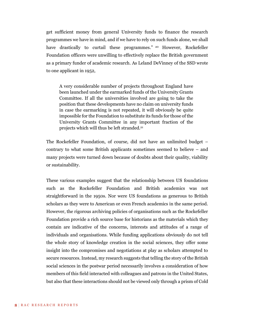get sufficient money from general University funds to finance the research programmes we have in mind, and if we have to rely on such funds alone, we shall have drastically to curtail these programmes."<sup>20</sup> However, Rockefeller Foundation officers were unwilling to effectively replace the British government as a primary funder of academic research. As Leland DeVinney of the SSD wrote to one applicant in 1952,

A very considerable number of projects throughout England have been launched under the earmarked funds of the University Grants Committee. If all the universities involved are going to take the position that these developments have no claim on university funds in case the earmarking is not repeated, it will obviously be quite impossible for the Foundation to substitute its funds for those of the University Grants Committee in any important fraction of the projects which will thus be left stranded.<sup>21</sup>

The Rockefeller Foundation, of course, did not have an unlimited budget – contrary to what some British applicants sometimes seemed to believe – and many projects were turned down because of doubts about their quality, viability or sustainability.

These various examples suggest that the relationship between US foundations such as the Rockefeller Foundation and British academics was not straightforward in the 1950s. Nor were US foundations as generous to British scholars as they were to American or even French academics in the same period. However, the rigorous archiving policies of organisations such as the Rockefeller Foundation provide a rich source base for historians as the materials which they contain are indicative of the concerns, interests and attitudes of a range of individuals and organisations. While funding applications obviously do not tell the whole story of knowledge creation in the social sciences, they offer some insight into the compromises and negotiations at play as scholars attempted to secure resources. Instead, my research suggests that telling the story of the British social sciences in the postwar period necessarily involves a consideration of how members of this field interacted with colleagues and patrons in the United States, but also that these interactions should not be viewed only through a prism of Cold